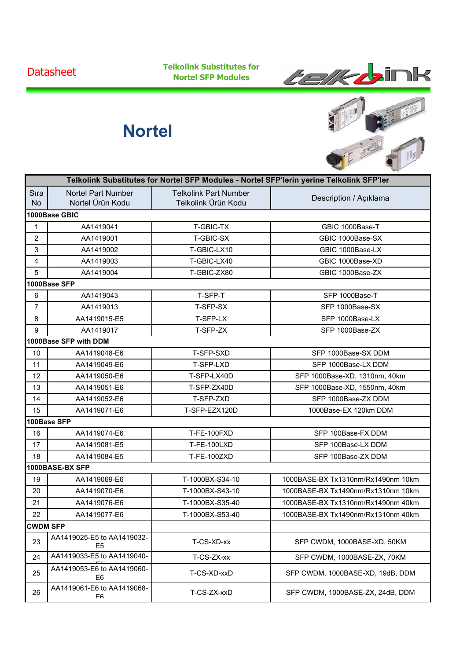**Datasheet** 

**Telkolink Substitutes for Nortel SFP Modules**



## **Nortel**



|                   | Telkolink Substitutes for Nortel SFP Modules - Nortel SFP'lerin yerine Telkolink SFP'ler |                                                     |                                    |  |  |
|-------------------|------------------------------------------------------------------------------------------|-----------------------------------------------------|------------------------------------|--|--|
| Sıra<br><b>No</b> | <b>Nortel Part Number</b><br>Nortel Ürün Kodu                                            | <b>Telkolink Part Number</b><br>Telkolink Ürün Kodu | Description / Açıklama             |  |  |
|                   | 1000Base GBIC                                                                            |                                                     |                                    |  |  |
| $\mathbf 1$       | AA1419041                                                                                | T-GBIC-TX                                           | GBIC 1000Base-T                    |  |  |
| $\overline{2}$    | AA1419001                                                                                | T-GBIC-SX                                           | GBIC 1000Base-SX                   |  |  |
| 3                 | AA1419002                                                                                | T-GBIC-LX10                                         | GBIC 1000Base-LX                   |  |  |
| 4                 | AA1419003                                                                                | T-GBIC-LX40                                         | GBIC 1000Base-XD                   |  |  |
| 5                 | AA1419004                                                                                | T-GBIC-ZX80                                         | GBIC 1000Base-ZX                   |  |  |
|                   | 1000Base SFP                                                                             |                                                     |                                    |  |  |
| 6                 | AA1419043                                                                                | T-SFP-T                                             | SFP 1000Base-T                     |  |  |
| $\overline{7}$    | AA1419013                                                                                | T-SFP-SX                                            | SFP 1000Base-SX                    |  |  |
| 8                 | AA1419015-E5                                                                             | T-SFP-LX                                            | SFP 1000Base-LX                    |  |  |
| 9                 | AA1419017                                                                                | T-SFP-ZX                                            | SFP 1000Base-ZX                    |  |  |
|                   | 1000Base SFP with DDM                                                                    |                                                     |                                    |  |  |
| 10                | AA1419048-E6                                                                             | T-SFP-SXD                                           | SFP 1000Base-SX DDM                |  |  |
| 11                | AA1419049-E6                                                                             | T-SFP-LXD                                           | SFP 1000Base-LX DDM                |  |  |
| 12                | AA1419050-E6                                                                             | T-SFP-LX40D                                         | SFP 1000Base-XD, 1310nm, 40km      |  |  |
| 13                | AA1419051-E6                                                                             | T-SFP-ZX40D                                         | SFP 1000Base-XD, 1550nm, 40km      |  |  |
| 14                | AA1419052-E6                                                                             | T-SFP-ZXD                                           | SFP 1000Base-ZX DDM                |  |  |
| 15                | AA1419071-E6                                                                             | T-SFP-EZX120D                                       | 1000Base-EX 120km DDM              |  |  |
|                   | 100Base SFP                                                                              |                                                     |                                    |  |  |
| 16                | AA1419074-E6                                                                             | <b>T-FE-100FXD</b>                                  | SFP 100Base-FX DDM                 |  |  |
| 17                | AA1419081-E5                                                                             | T-FE-100LXD                                         | SFP 100Base-LX DDM                 |  |  |
| 18                | AA1419084-E5                                                                             | T-FE-100ZXD                                         | SFP 100Base-ZX DDM                 |  |  |
|                   | 1000BASE-BX SFP                                                                          |                                                     |                                    |  |  |
| 19                | AA1419069-E6                                                                             | T-1000BX-S34-10                                     | 1000BASE-BX Tx1310nm/Rx1490nm 10km |  |  |
| 20                | AA1419070-E6                                                                             | T-1000BX-S43-10                                     | 1000BASE-BX Tx1490nm/Rx1310nm 10km |  |  |
| 21                | AA1419076-E6                                                                             | T-1000BX-S35-40                                     | 1000BASE-BX Tx1310nm/Rx1490nm 40km |  |  |
| 22                | AA1419077-E6                                                                             | T-1000BX-S53-40                                     | 1000BASE-BX Tx1490nm/Rx1310nm 40km |  |  |
|                   | CWDM SFP                                                                                 |                                                     |                                    |  |  |
| 23                | AA1419025-E5 to AA1419032-<br>E <sub>5</sub>                                             | T-CS-XD-xx                                          | SFP CWDM, 1000BASE-XD, 50KM        |  |  |
| 24                | AA1419033-E5 to AA1419040-                                                               | T-CS-ZX-xx                                          | SFP CWDM, 1000BASE-ZX, 70KM        |  |  |
| 25                | AA1419053-E6 to AA1419060-<br>E <sub>6</sub>                                             | T-CS-XD-xxD                                         | SFP CWDM, 1000BASE-XD, 19dB, DDM   |  |  |
| 26                | AA1419061-E6 to AA1419068-<br>Fĥ                                                         | T-CS-ZX-xxD                                         | SFP CWDM, 1000BASE-ZX, 24dB, DDM   |  |  |